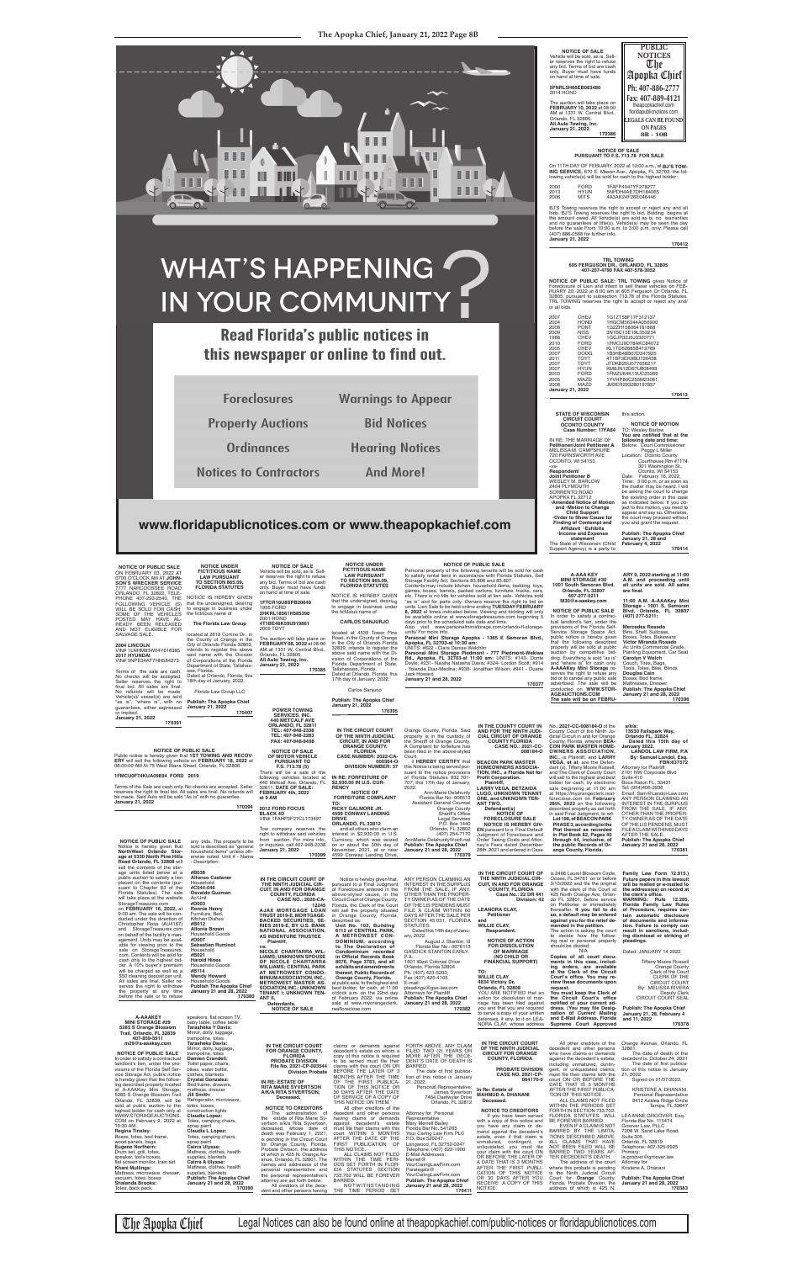

BJ'S Towing reserves the right to accept or reject any and all<br>bids. BJ'S Towing reserves the right to bid. Bidding begins at<br>the amount owed. All Vehicle(s) are sold as is, no warranties and no guarantees of title(s). Vehicle(s) may be seen the day before the sale From 10:00 a.m. to 3:00 p.m. only. Please call (407) 886-0568 for further info. **January 21, 2022 170412**

**NOTICE OF PUBLIC SALE: TRL TOWING** gives Notice of<br>Foreclosure of Lien and intent to sell these vehicles on FEB-<br>RUARY 20, 2022 at 8:00 am at 605 Ferguson Dr Orlando, FL<br>32805, pursuant to subsection 713.78 of the Florida or all bids.

#### **NOTICE OF SALE PURSUANT TO F.S. 713.78 FOR SALE**

On 11TH DAY OF FEBUARY, 2022 at 10:00 a.m., at **BJ'S TOW-**<br>**ING SERVICE,** 670 E. Mason Ave., Apopka, FL 32703, the fol-<br>Iowing vehicle(s) will be sold for cash to the highest bidder:

| 2000         | FORD                | 1FAFP4047YF278277                      |
|--------------|---------------------|----------------------------------------|
| 2013<br>2006 | <b>HYUN</b><br>MITS | 5NPDH4AE7DH184065<br>4A3AK24F26E046446 |
|              |                     |                                        |

## **TRL TOWING 605 FERGUSON DR., ORLANDO, FL 32805 407-207-4790 FAX 407-578-3052**

**NOTICE OF PUBLIC SALE**  ON FEBRUARY 03, 2022 AT 0700 O'CLOCK AM AT **JOHN-SON'S WRECKER SERVICE** 7777 NARCOOSSEE ROAD ORLANDO, FL 32822, TELE-PHONE 407-293-2540, THE<br>FOLLOWING VEHICLE (S)<br>WILL BE SOLD FOR CASH.<br>SOME OF THE VEHICLES<br>POSTED MAY HAVE AL-<br>READY BEEN RELEASED<br>READY BEEN RELEASED

| 2007<br>CHEV<br>2004<br><b>HOND</b><br>2006<br><b>PONT</b><br>2009<br>NISS<br>1988<br><b>CHEV</b><br>2010<br><b>FORD</b><br>2005<br><b>CHEV</b><br>2007<br><b>DODG</b><br>2011<br><b>TOYT</b><br>2007<br><b>TOYT</b><br>2007<br><b>HYUN</b><br>2003<br><b>FORD</b><br>2005<br><b>MAZD</b><br>2008<br><b>MAZD</b><br><b>January 21, 2022</b> | 1G1ZT58F17F312137<br>1HGCM56344A056900<br>1G2ZH158064181868<br>3N1BC13E19L353234<br>1GCJP32J6J3320771<br>1FMCU9D78AKC84072<br>KL1TD62685B419769<br>1B3HB48B07D347925<br>4T1BF3EK9BU720438<br>JTDKB20U077656217<br>KM8JN12D67U608499<br>1FMZU64K13UC25269<br>1YVHP80C255M23061<br>JM3ER293280197857 |
|---------------------------------------------------------------------------------------------------------------------------------------------------------------------------------------------------------------------------------------------------------------------------------------------------------------------------------------------|----------------------------------------------------------------------------------------------------------------------------------------------------------------------------------------------------------------------------------------------------------------------------------------------------|
|---------------------------------------------------------------------------------------------------------------------------------------------------------------------------------------------------------------------------------------------------------------------------------------------------------------------------------------------|----------------------------------------------------------------------------------------------------------------------------------------------------------------------------------------------------------------------------------------------------------------------------------------------------|

**TO SECTION 865.09, FLORIDA STATUTES** NOTICE IS HEREBY GIVEN that the undersigned, desiring<br>to engage in business under<br>the fictitious name of **170413**

The State of Wisconsin (Child Support Agency) is a party to

| <b>STATE OF WISCONSIN</b><br><b>CIRCUIT COURT</b>     | this action.                     |
|-------------------------------------------------------|----------------------------------|
| <b>OCONTO COUNTY</b>                                  | <b>NOTICE OF MOTION</b>          |
| Case Number: 17FA84                                   | <b>TO: Wesley Barlow</b>         |
|                                                       | You are notified that at the     |
| IN RE: THE MARRIAGE OF                                | following date and time:         |
| Petitioner/Joint Petitioner A                         | Before: Court Commissioner       |
| MELISSA M. CAMPSHURE                                  | Peggy L Miller                   |
| 720 FARNSWORTH AVE                                    | Location: Oconto County          |
| OCONTO, WI 54153                                      | Courthouse Rm #1174              |
| -VS-                                                  | 301 Washington St.,              |
| Respondent/                                           | Oconto, WI 54153                 |
| <b>Joint Petitioner B</b>                             | February 16, 2022,<br>Date:      |
| WESLEY M. BARLOW                                      | Time: 3:00 p.m. or as soon as    |
| 2404 PLYMOUTH                                         | the matter may be heard. I will  |
| SORRENTO ROAD                                         | be asking the court to change    |
| APOPKA FL 32712                                       | the existing order in this case  |
| <b>•Amended Notice of Motion</b>                      | as indicated below. If you ob-   |
| and Motion to Change                                  | ject to this motion, you need to |
| <b>Child Support</b>                                  | appear and say so. Otherwise,    |
| Order to Show Cause for                               | the court may proceed without    |
| <b>Finding of Contempt and</b><br>Affidavit .Exhibits | you and grant the request.       |
| ·Income and Expense                                   | <b>Publish: The Apopka Chief</b> |
| statement                                             | January 21, 28 and               |
| The State of Wisconsin (Child                         | February 4, 2022                 |
| Support Agency) is a party to                         | 170414                           |
|                                                       |                                  |

### **170414**

2001 HOND **4T1BE46K59U919861** 2009 TOYT The auction will take place on<br>**FEBRUARY 08, 2022** at 08:00<br>AM at 1331 W. Central Blvd.,<br>Orlando, FL 32805.<br>**All Auto Towing, Inc.** 

SALVAGE SALE. **2004 LINCOLN** VIN# 1LNHM83W04Y616385 **2017 HYUNDAI**

VIN# 5NPE34AF7HH584273 Terms of the sale are cash.

or implied.

#### **CARLOS SANJURJO**

Florida Department of State, Tallahassee, Florida. Dated at Orlando, Florida, this 17th day of January, 2022.

Carlos Sanjurjo

**Publish: The Apopka Chief January 21, 2022 170395**

**NOTICE OF PUBLIC SALE**<br>Personal property of the following tenants will be sold for cash<br>to satisfy rental liens in accordance with Florida Statutes, Self<br>Storage Facility Act, Sections 83.806 and 83.807.<br>Contents may incl

that the undersigned, desiring<br>to engage in business under<br>the fictitious name of **The Florida Law Group**

located at 2618 Corrine Dr., in<br>the County of Orange in the<br>City of Orlando Florida 32803,<br>intends to register the above<br>said name with the Division<br>of Corporations of the Florida Department of State, Tallahasetc. There is no title for vehicles sold at lien sale. Vehicles sold "as is" and for parts only. Owners reserve the right to bid on<br>units. Lien Sale to be held online ending **TUESDAY FEBRUARY**<br>**8, 2022** at times indicated below. Viewing and bidding will only be available online at www.storagetreasures.com beginning 5 days prior to the scheduled sale date and time.

days prior to the scheduled sale date and time.<br>Also visit www.personalministorage.com/orlando-fl-storage-<br>units/ For more info.<br>**Personal Mini Storage Apopka - 1365 E Semoran Blvd.,<br>Personal Mini Storage Apopka, FL 32703-**

**NOTICE UNDER FICTITIOUS NAME LAW PURSUANT NOTICE OF SALE** Vehicle will be sold, as is. Seller reserves the right to refuse any bid. Terms of bid are cash

> located at 4539 Tower Pine Road, in the County of Orange in the City of Orlando Florida 32839, intends to register the above said name with the Di-vision of Corporations of the **170385**

| January 21, 2022<br>170391<br><b>NOTICE OF PUBLIC SALE</b><br>Public notice is hereby given that 1ST TOWING AND RECOV-<br>ERY will sell the following vehicle on FEBRUARY 18, 2022 at<br>08:00:00 AM At 75 West Illiana Street, Orlando, FL 32806.<br>1FMCU0F74KUA09894 FORD 2019<br>Terms of the Sale are cash only. No checks are accepted. Seller<br>reserves the right to final bid. All sales are final. No refunds will<br>be made. Said Auto will be sold "As Is" with no quarantee.<br><b>January 21, 2022</b><br><b>NOTICE OF PUBLIC SALE</b><br>Notice is hereby given that<br>NorthWest Orlando Stor-<br>age at 5330 North Pine Hills                                                                                                                                                                                                                                                                                           | 170394<br>any bids. The property to be<br>sold is described as "general<br>household items" unless oth-<br>erwise noted. Unit # - Name                                                                                                                                                                                                                                                                                                                                                                                                                                                                                                                                                                                                                                                                   | ,,,,,,,,,,,,,,,<br><b>440 METCALF AVE</b><br>ORLANDO, FL 32811<br>TEL: 407-948-2338<br>TEL: 407-948-2283<br>FAX: 407-948-9498<br><b>NOTICE OF SALE</b><br>OF MOTOR VEHICLE<br><b>PURSUANT TO</b><br>F.S. 713.78 (5)<br>There will be a sale of the<br>following vehicles located at<br>440 Metcalf Ave, Orlando, FL<br>32811. DATE OF SALE:<br>FEBRUARY 4th, 2022<br>at 9 AM<br>2012 FORD FOCUS<br><b>BLACK 4D</b><br>VIN# 1FAHP3F27CL173497<br>Tow company reserves the<br>right to withdraw said vehicles<br>from auction. For more info,<br>or inquiries, call 407-948-2338<br><b>January 21, 2022</b><br>170399                                                                                                                                                                        | IN THE CIRCUIT COURT<br>OF THE NINTH JUDICIAL<br><b>CIRCUIT, IN AND FOR</b><br><b>ORANGE COUNTY,</b><br><b>FLORIDA</b><br>CASE NUMBER: 2022-CA-<br>000364-O<br><b>DIVISION NUMBER: 37</b><br>IN RE: FORFEITURE OF<br>\$2,930.00 IN U.S. CUR-<br><b>RENCY</b><br><b>NOTICE OF</b><br><b>FORFEITURE COMPLAINT</b><br>TO:<br><b>RICKY GALMORE JR.</b><br><b>4599 CONWAY LANDING</b><br><b>DRIVE</b><br>ORLANDO, FL 32812<br>and all others who claim an<br>interest in \$2,930.00 in U.S.<br>Currency, which was seized<br>on or about the 30th day of<br>November, 2021, at or near<br>4599 Conway Landing Drive,                                                                                                                                                                     | Orange County, Florida. Said<br>property is in the custody of<br>the Sheriff of Orange County.<br>A Complaint for forfeiture has<br>been filed in the above-styled<br>Court.<br>I HEREBY CERTIFY that<br>this Notice is being served pur-<br>suant to the notice provisions<br>of Florida Statutes 932.701-<br>707, this 17th day of January,<br>2022.<br>Ann-Marie Delahunty<br>Florida Bar No. 006513<br><b>Assistant General Counsel</b><br>Orange County<br>Sheriff's Office<br><b>Legal Services</b><br>P.O. Box 1440<br>Orlando, FL 32802<br>(407) 254-7170<br>AnnMarie.Delahunty@ocfl.net<br><b>Publish: The Apopka Chief</b><br>January 21 and 28, 2022<br>170379 | IN THE COUNTY COURT IN<br>AND FOR THE NINTH JUDI-<br><b>CIAL CIRCUIT OF ORANGE</b><br><b>COUNTY FLORIDA</b><br><b>CASE NO.: 2021-CC-</b><br>008184-O<br><b>BEACON PARK MASTER</b><br><b>HOMEOWNERS ASSOCIA-</b><br>TION, INC., a Florida Not for<br><b>Profit Corporation.</b><br>Plaintiff,<br><b>LARRY VEGA, BETZAIDA</b><br><b>LUGO, UNKNOWN TENANT</b><br><b>ONE, and UNKNOWN TEN-</b><br>ANT TWO.<br>Defendant(s)<br><b>NOTICE OF</b><br><b>FORECLOSURE SALE</b><br><b>NOTICE IS HEREBY GIV-</b><br><b>EN</b> pursuant to a Final Default<br>Judgment of Foreclosure and<br>Order Taxing Costs and Attor-<br>ney's Fees dated December<br>28th, 2021 and entered in Case                                                                         | No.: 2021-CC-008184-O of the<br>County Court of the Ninth Ju-<br>dicial Circuit in and for Orange<br>County, Florida, wherein BEA-<br><b>CON PARK MASTER HOME-</b><br><b>OWNERS ASSOCIATION,</b><br><b>INC., is Plaintiff, and LARRY</b><br>VEGA, et al, are the Defen-<br>dant (s), Tiffany Moore Russell,<br>and The Clerk of County Court<br>will sell to the highest and best<br>bidder for cash, by electronic<br>sale beginning at 11:00 am<br>at https://myorangeclerk.real-<br>foreclose.com on February<br>28th, 2022 on the following<br>described property as set forth<br>in said Final Judgment, to wit:<br>Lot 198, of BEACON PARK<br>PHASE 3, according to the<br>Plat thereof as recorded<br>in Plat Book 82, Pages 40<br>through 44, inclusive, of<br>the public Records of Or-<br>ange County, Florida.                                                                                   | a/k/a:<br>13530 Fallspark Way,<br>Orlando FL, 32824<br>Dated this 15th day of<br>January 2022.<br><b>LANDOL LAW FIRM, P.A.</b><br>By: Samuel Landol, Esq.<br>FBN:637572<br><b>Attorney for Plaintiff</b><br>2101 NW Corporate Blvd<br>Suite 410<br>Boca Raton FL, 33431<br>Tel: (954)406-2936<br>Email: Sam@Landol-Law.com<br>ANY PERSON CLAIMING AN<br>INTEREST IN THE SURPLUS<br>FROM THE SALE, IF ANY,<br>OTHER THAN THE PROPER-<br>TY OWNER AS OF THE DATE<br>OF THE LIS PENDENS, MUST<br>FILEACLAIM WITHIN 60 DAYS<br>AFTER THE SALE.<br><b>Publish: The Apopka Chief</b><br>January 21 and 28, 2022<br>170381                                                                                             |
|--------------------------------------------------------------------------------------------------------------------------------------------------------------------------------------------------------------------------------------------------------------------------------------------------------------------------------------------------------------------------------------------------------------------------------------------------------------------------------------------------------------------------------------------------------------------------------------------------------------------------------------------------------------------------------------------------------------------------------------------------------------------------------------------------------------------------------------------------------------------------------------------------------------------------------------------|----------------------------------------------------------------------------------------------------------------------------------------------------------------------------------------------------------------------------------------------------------------------------------------------------------------------------------------------------------------------------------------------------------------------------------------------------------------------------------------------------------------------------------------------------------------------------------------------------------------------------------------------------------------------------------------------------------------------------------------------------------------------------------------------------------|--------------------------------------------------------------------------------------------------------------------------------------------------------------------------------------------------------------------------------------------------------------------------------------------------------------------------------------------------------------------------------------------------------------------------------------------------------------------------------------------------------------------------------------------------------------------------------------------------------------------------------------------------------------------------------------------------------------------------------------------------------------------------------------------|-------------------------------------------------------------------------------------------------------------------------------------------------------------------------------------------------------------------------------------------------------------------------------------------------------------------------------------------------------------------------------------------------------------------------------------------------------------------------------------------------------------------------------------------------------------------------------------------------------------------------------------------------------------------------------------------------------------------------------------------------------------------------------------|---------------------------------------------------------------------------------------------------------------------------------------------------------------------------------------------------------------------------------------------------------------------------------------------------------------------------------------------------------------------------------------------------------------------------------------------------------------------------------------------------------------------------------------------------------------------------------------------------------------------------------------------------------------------------|-------------------------------------------------------------------------------------------------------------------------------------------------------------------------------------------------------------------------------------------------------------------------------------------------------------------------------------------------------------------------------------------------------------------------------------------------------------------------------------------------------------------------------------------------------------------------------------------------------------------------------------------------------------------------------------------------------------------------------------------------------|-------------------------------------------------------------------------------------------------------------------------------------------------------------------------------------------------------------------------------------------------------------------------------------------------------------------------------------------------------------------------------------------------------------------------------------------------------------------------------------------------------------------------------------------------------------------------------------------------------------------------------------------------------------------------------------------------------------------------------------------------------------------------------------------------------------------------------------------------------------------------------------------------------------|-----------------------------------------------------------------------------------------------------------------------------------------------------------------------------------------------------------------------------------------------------------------------------------------------------------------------------------------------------------------------------------------------------------------------------------------------------------------------------------------------------------------------------------------------------------------------------------------------------------------------------------------------------------------------------------------------------------------|
| Road Orlando, FL 32808 will<br>sell the contents of the stor-<br>age units listed below at a<br>public auction to satisfy a lien<br>placed on the contents (pur-<br>suant to Chapter 83 of the<br>Florida Statutes). The sale<br>will take place at the website<br>StorageTreasures.com<br>on FEBRUARY 16, 2022, at<br>9:00 am. The sale will be con-<br>ducted under the direction of<br>Christopher Rosa (AU4167)<br>and StorageTreasures.com<br>on behalf of the facility's man-<br>agement. Units may be avail-<br>able for viewing prior to the<br>sale on StorageTreasures.<br>com. Contents will be sold for<br>cash only to the highest bid-<br>der. A 10% buyer's premium<br>will be charged as well as a<br>\$50 cleaning deposit per unit.<br>All sales are final. Seller re-<br>serves the right to withdraw<br>the property at any time<br>before the sale or to refuse                                                       | - Description:<br>#B038<br><b>Alfonso Castaner</b><br>Household<br>#C044-046<br>Osvaldo Guzman<br>Ac/Unit<br>#D003<br><b>Ronnie Henry</b><br>Furniture, Bed,<br><b>Kitchen Dishes</b><br>#B012<br>Altonia Brown<br><b>Household Goods</b><br>#D007<br><b>Sebastian Ruminot</b><br>Household<br>#B021<br><b>Harold Hines</b><br><b>Household Goods</b><br>#B114<br><b>Wendy Howard</b><br><b>Household Goods</b><br><b>Publish The Apopka Chief</b><br>January 21 and 28, 2022<br>170380                                                                                                                                                                                                                                                                                                                  | IN THE CIRCUIT COURT OF<br>THE NINTH JUDICIAL CIR-<br><b>CUIT, IN AND FOR ORANGE</b><br><b>COUNTY, FLORIDA</b><br><b>CASE NO.: 2020-CA-</b><br>12245<br>AJAX MORTGAGE LOAN<br>TRUST 2019-E, MORTGAGE-<br><b>BACKED SECURITIES, SE-</b><br>RIES 2019-E, BY U.S. BANK<br>NATIONAL ASSOCIATION,<br>AS INDENTURE TRUSTEE<br>Plaintiff,<br>VS.<br>NICOLE CHARTARRA WIL-<br><b>LIAMS; UNKNOWN SPOUSE</b><br>OF NICOLE CHARTARRA<br><b>WILLIAMS; CENTRAL PARK</b><br>AT METROWEST CONDO-<br>MINIUM ASSOCIATION, INC.;<br><b>METROWEST MASTER AS-</b><br><b>SOCIATION, INC.; UNKNOWN</b><br><b>TENANT I: UNKNOWN TEN-</b><br>ANT II.<br>Defendants.<br><b>NOTICE OF SALE</b>                                                                                                                       | Notice is hereby given that,<br>pursuant to a Final Judament<br>of Foreclosure entered in the<br>above-styled cause, in the<br>Circuit Court of Orange County,<br>Florida, the Clerk of the Court<br>will sell the property situated<br>in Orange County, Florida,<br>described as:<br>Unit No. 102, Building<br>6112 of CENTRAL PARK,<br>A METROWEST CON-<br>DOMINIUM, according<br>to The Declaration of<br>Condominium recorded<br>in Official Records Book<br>8076, Page 3783, and all<br>exhibits and amendments<br>thereof, Public Records of<br>Orange County, Florida.<br>at public sale, to the highest and<br>best bidder, for cash, at 11:00<br>o'clock a.m. on the 22nd day<br>of February 2022, via online<br>sale at www.myorangeclerk.<br>realforeclose.com          | ANY PERSON CLAIMING AN<br>INTEREST IN THE SURPLUS<br>FROM THE SALE, IF ANY,<br>OTHER THAN THE PROPER-<br>TY OWNER AS OF THE DATE<br>OF THE LIS PENDENS MUST<br>FILE A CLAIM WITHIN 60<br>DAYS AFTER THE SALE PER<br>SECTION 45.031, FLORIDA<br>STATUTES.<br>Dated this 14th day of Janu-<br>ary, 2022<br>August J. Stanton, III<br>Florida Bar No.: 0976113<br><b>GASDICK STANTON EARLY,</b><br>P.A.<br>1601 West Colonial Drive<br>Orlando, Florida 32804<br>Ph. (407) 423-5203;<br>Fax (407) 425-4105<br>E-mail:<br>pleadings@gse-law.com<br><b>Attorneys for Plaintiff</b><br><b>Publish: The Apopka Chief</b><br>January 21 and 28, 2022<br>170382                    | IN THE CIRCUIT COURT OF<br>THE NINTH JUDICIAL CIR-<br><b>CUIT, IN AND FOR ORANGE</b><br><b>COUNTY, FLORIDA</b><br>Case No.: 22 DR 441<br>Division: 42<br><b>LEANORA CLAY,</b><br>Petitioner<br>and<br><b>WILLIE CLAY,</b><br>Respondent.<br><b>NOTICE OF ACTION</b><br><b>FOR DISSOLUTION</b><br>OF MARRIAGE<br>(NO CHILD OR<br><b>FINANCIAL SUPPORT)</b><br>TO:<br><b>WILLIE CLAY</b><br>4834 Victory Dr.<br>Orlando, FL 32808<br>YOU ARE NOTIFIED that an<br>action for dissolution of mar-<br>riage has been filed against<br>you and that you are required<br>to serve a copy of your written                                                                                                                                                     | is 2466 Laurel Blossom Circle,<br>Ocoee, FL 34761 on or before<br>3/10/2022 and file the original<br>with the clerk of this Court at<br>425 North Orange Ave, Orlan-<br>do FL 32801, before service<br>on Petitioner or immediately<br>thereafter. If you fail to do<br>so, a default may be entered<br>against you for the relief de-<br>manded in the petition.<br>The action is asking the court<br>to decide how the follow-<br>ing real or personal property<br>should be divided:<br>N/A<br>Copies of all court docu-<br>ments in this case, includ-<br>ing orders, are available<br>at the Clerk of the Circuit<br>Court's office. You may re-<br>view these documents upon<br>request.<br>You must keep the Clerk of<br>the Circuit Court's office<br>notified of your current ad-<br>dress. (You may file Desig-<br>nation of Current Mailing                                                      | Family Law Form 12.915.)<br>Future papers in this lawsuit<br>will be mailed or e-mailed to<br>the address(es) on record at<br>the clerk's office.<br><b>WARNING: Rule 12.285.</b><br>Florida Family Law Rules<br>of Procedure, requires cer-<br>tain automatic disclosure<br>of documents and informa-<br>tion. Failure to comply can<br>result in sanctions, includ-<br>ing dismissal or striking of<br>pleadings.<br>Dated: JANUARY 14 2022<br><b>Tiffany Moore Russell</b><br>Orange County<br>Clerk of the Court<br><b>CLERK OF THE</b><br><b>CIRCUIT COURT</b><br>By: MELISSA RIVERA<br><b>Deputy Clerk</b><br><b>CIRCUIT COURT SEAL</b><br><b>Publish: The Apopka Chief</b><br>January 21, 28, February 4 |
| <b>A-AAAKEY</b><br><b>MINI STORAGE #29</b><br>5285 S Orange Blossom<br>Trail, Orlando, FL 32839<br>407-859-5911<br>m29@a-aaakey.com<br><b>NOTICE OF PUBLIC SALE</b><br>In order to satisfy a contractual<br>landlord's lien, under the pro-<br>visions of the Florida Self Ser-<br>vice Storage Act, public notice<br>is hereby given that the follow-<br>ing described property located<br>at A-AAAKey Mini Storage,<br>5285 S Orange Blossom Trail<br>Orlando, FL 32839, will be<br>sold at public auction to the<br>highest bidder for cash only at<br>WWW.STORAGEAUCTIONS.<br>COM on February 9, 2022 at<br>10:30 AM.<br>Regina Tinsley:<br>Boxes, totes, bed frame,<br>wood panels, bags<br><b>Eugene Northern:</b><br>Drum set, grill, totes,<br>speaker, tools boxes,<br>flat screen monitor, train set<br>Khani Mullings:<br>Mattress, microwave, dresser,<br>vacuum, totes, boxes<br><b>Shalanda Brooks:</b><br>Totes, back pack, | speakers, flat screen TV,<br>baby table, coffee table<br><b>Tarasheka Y Davis:</b><br>Mirror, dolly, luggage,<br>trampoline, totes<br><b>Tarasheka Davis:</b><br>Mirror, dolly, luggage,<br>trampoline, totes<br>Damien Crandell:<br>Toilet paper, chairs,<br>bikes, water bottle,<br>clothes, blankets<br><b>Crystal Gonzalez:</b><br>Bed frame, drawers,<br>mattress, dresser<br>Jill Smith:<br>Refrigerator, microwave,<br>totes, boxes,<br>construction lights<br>Claudia Lopez:<br>Totes, camping chairs,<br>spray paint<br>Claudia L Lopez:<br>Totes, camping chairs,<br>spray paint<br>Cairra Ulysse:<br>Mattress, clothes, health<br>supplies, blankets<br>Cairra A Ulysse:<br>Mattress, clothes, health<br>supplies, blankets<br>Publish: The Apopka Chief<br>January 21 and 28, 2022<br>170390 | IN THE CIRCUIT COURT<br>FOR ORANGE COUNTY,<br><b>FLORIDA</b><br><b>PROBATE DIVISION</b><br>File No. 2021-CP-003544<br><b>Division Probate</b><br>IN RE: ESTATE OF<br><b>RITA MARIE SYVERTSON</b><br>A/K/A RITA SYVERTSON,<br>Deceased.<br><b>NOTICE TO CREDITORS</b><br>The administration of<br>the estate of Rita Marie Sy-<br>vertson a/k/a Rita Syvertson.<br>deceased, whose date of<br>death was February 1, 2021,<br>is pending in the Circuit Court<br>for Orange County, Florida,<br>Probate Division, the address<br>of which is 425 N. Orange Av-<br>enue, Orlando, FL 32801. The<br>names and addresses of the<br>personal representative and<br>the personal representative's<br>attorney are set forth below.<br>All creditors of the dece-<br>dent and other persons having | claims or demands against<br>decedent's estate on whom a<br>copy of this notice is required<br>to be served must file their<br>claims with this court ON OR<br>BEFORE THE LATER OF 3<br>MONTHS AFTER THE TIME<br>OF THE FIRST PUBLICA-<br>TION OF THIS NOTICE OR<br>30 DAYS AFTER THE DATE<br>OF SERVICE OF A COPY OF<br>THIS NOTICE ON THEM.<br>All other creditors of the<br>decedent and other persons<br>having claims or demands<br>against decedent's estate<br>must file their claims with this<br>court WITHIN 3 MONTHS<br>AFTER THE DATE OF THE<br>FIRST PUBLICATION OF<br>THIS NOTICE.<br>ALL CLAIMS NOT FILED<br>WITHIN THE TIME PERI-<br>ODS SET FORTH IN FLOR-<br>IDA STATUTES SECTION<br>733.702 WILL BE FOREVER<br>BARRED.<br>NOTWITHSTANDING<br>THE TIME PERIOD SET | FORTH ABOVE, ANY CLAIM<br>FILED TWO (2) YEARS OR<br>MORE AFTER THE DECE-<br>DENT'S DATE OF DEATH IS<br>BARRED.<br>The date of first publica-<br>tion of this notice is January<br>21, 2022.<br>Personal Representative:<br>James Syvertson<br>7464 Daetwyler Drive<br>Orlando, FL 32812<br>Attorney for Personal<br>Representative:<br><b>Mary Merrell Bailey</b><br>Florida Bar No. 541265<br>Your Caring Law Firm PLC<br>P.O. Box 520247<br>Longwood, FL 32752-0247<br>Telephone: (407) 622-1900<br>E-Mail Addresses:<br>Merrell@<br>YourCaringLawFirm.com<br>Paralegals@<br>YourCaringLawFirm.com<br>Publish: The Apopka Chief<br>January 21 and 28, 2022<br>170411    | defenses, if any, to it on LEA-<br>NORA CLAY, whose address<br>IN THE CIRCUIT COURT<br>OF THE NINTH JUDICIAL<br><b>CIRCUIT FOR ORANGE</b><br><b>COUNTY, FLORIDA</b><br>PROBATE DIVISION<br><b>CASE NO. 2021-CP-</b><br>004170-0<br>In Re: Estate of<br><b>MAHMUD A. DHANANI</b><br>Deceased.<br><b>NOTICE TO CREDITORS</b><br>If you have been served<br>with a copy of this notice and<br>you have any claim or de-<br>mand against the decedent's<br>estate, even if that claim is<br>unmatured, contingent, or<br>unliquidated, you must file<br>your claim with the court ON<br>OR BEFORE THE LATER OF<br>A DATE THAT IS 3 MONTHS<br>AFTER THE FIRST PUBLI-<br>CATION OF THIS NOTICE<br>OR 30 DAYS AFTER YOU<br>RECEIVE A COPY OF THIS<br>NOTICE. | and E-Mail Address, Florida<br>Supreme Court Approved<br>All other creditors of the<br>decedent and other persons<br>who have claims or demands<br>against the decedent's estate.<br>including unmatured, contin-<br>gent, or unliquidated claims,<br>must file their claims with the<br>court ON OR BEFORE THE<br>DATE THAT IS 3 MONTHS<br>AFTER THE FIRST PUBLICA-<br>TION OF THIS NOTICE<br>ALL CLAIMS NOT FILED<br>WITHIN THE PERIODS SET<br>FORTH IN SECTION 733.702,<br>FLORIDA STATUTES, WILL<br>BE FOREVER BARRED.<br>EVEN IF A CLAIM IS NOT<br>BARRED BY THE LIMITA-<br>TIONS DESCRIBED ABOVE,<br>ALL CLAIMS THAT HAVE<br>NOT BEEN FILED WILL BE<br>BARRED TWO YEARS AF-<br>TER DECEDENT'S DEATH.<br>The address of the court<br>where this probate is pending<br>is the Ninth Judicial Circuit<br>Court for <b>Orange</b> County,<br>Florida, Probate Division, the<br>address of which is 425 N. | and 11, 2022<br>170378<br>Orange Avenue, Orlando, FL<br>32801.<br>The date of death of the<br>decedent is: October 24, 2021<br>The date of first publica-<br>tion of this notice is: January<br>21, 2022<br>Signed on 01/07/2022.<br>KRISTENE A. DHANANI.<br>Personal Representative<br>9412 Azalea Ridge Circle<br>Tampa, FL 33647<br>LEA ANNE GROOVER, Esq.<br>Florida Bar No. 115474<br>Groover Law, PLLC<br>7208 W. Sand Lake Road,<br>Suite 305<br>Orlando, FL 32819<br>Telephone: 407-325-9925<br>Primary:<br>la.groover@groover.law<br>Attorney for<br>Kristene A. Dhanani<br><b>Publish: The Apopka Chief</b><br>January 21 and 28, 2022<br>170383                                                      |

The Apopka Chief Legal Notices can also be found online at theapopkachief.com/public-notices or floridapublicnotices.com

1995 FORD **2HKRL18561H585398**

No checks will be accepted. Seller reserves the right to<br>final bid. All sales are final. No refunds will be made. Vehicle(s)/ vessel(s) are sold "as is", "where is", with no guarantees, either expressed **Publish: The Apopka Chief January 21, 2022**

**January 21, 2022**

only. Buyer must have funds on hand at time of sale. **1FTCR10U8SPB20649 NOTICE UNDER FICTITIOUS NAME** 

 **A-AAA KEY MINI STORAGE #30 1001 South Semoran Blvd. Orlando, FL 32807 407-277-5211 M30@a-aaakey.com NOTICE OF PUBLIC SALE**

I. The sale will be Mattresses, Dr. In order to satisfy a contrac-tual landlord's lien, under the provisions of the Florida Self-Service Storage Space Act, public notice is hereby given that the following described property will be sold at public auction by competitive bidding. Everything is sold "as is"<br>and "where is" for cash only.<br>A-AAKey Mini Storage re-<br>serves the right to refuse any<br>bid or to cancel any public sale<br>advertised. The sale will be<br>conducted on WWW.STOR-<br>AGEAUCTIONS.COM<br>Th

A.M. and proceeding until<br>all units are sold. All sales<br>are final.

| <b>NOTICE OF SALE</b><br>Vehicle will be sold, as is, Sell-<br>er reserves the right to refuse<br>any bid. Terms of bid are cash<br>only. Buyer must have funds<br>on hand at time of sale. | <b>PUBLIC</b><br><b>NOTICES</b><br>The<br>Apopka Chief              |
|---------------------------------------------------------------------------------------------------------------------------------------------------------------------------------------------|---------------------------------------------------------------------|
| 5FNRL5H66EB083480<br>2014 HOND                                                                                                                                                              | Ph: 407-886-2777                                                    |
| The auction will take place on<br>FEBRUARY 10, 2022 at 08:00<br>AM at 1331 W. Central Blvd.,                                                                                                | Fax: 407-889-4121<br>theapopkachief.com<br>floridapublicnotices.com |
| Orlando, FL 32805.<br>All Auto Towing, Inc.                                                                                                                                                 | <b>LEGALS CAN BE FOUND</b>                                          |
| Januarv 21. 2022                                                                                                                                                                            | <b>ON PAGES</b>                                                     |
| 170386                                                                                                                                                                                      | 8B - 10B                                                            |

**ARY 9, 2022 starting at 11:00** 

ty will be sold at public Ac Units Comm<br>by competitive bid- Painting Equipm iverything is sold "as is" **CaroIyn V Weld**<br>/here is" for cash only. Couch, Tires, Ba The right to refuse any **Douglas Cain**<br>the right to refuse any **Douglas Cain** 

# **11:00 A.M. A-AAAKey Mini Storage - 1001 S. Semoran Blvd, Orlando, FL 32807 (407) 277-5211:**

**Mercedes Rosado** Bins, Shelf, Suitcase, Boxes, Totes, Bakeware **Victor Miranda Rosado**<br>Ac Units Commercial Grade,<br>Painting Equipment, Car Seat **Carolyn V Welch** Couch, Tires, Bags, Tools, Totes, Bike, Blinds **Douglas Cain**<br>Boxes, Bed frame,<br>Mattresses, Dresser<br>**Publish: The Apopka Chief January 21 and 28, 2022 170396**

# **WHAT'S HAPPENING** IN YOUR COMMUNITY

# **Read Florida's public notices in** this newspaper or online to find out.

**Foreclosures** 

**Warnings to Appear** 

**Property Auctions** 

**Ordinances** 

**Bid Notices** 

**Hearing Notices** 

**And More!** 

**Notices to Contractors** 

**POWER TOWING SERVICES, INC.** 

**LAW PURSUANT TO SECTION 865.09, FLORIDA STATUTES** NOTICE IS HEREBY GIVEN

see, Florida. Dated at Orlando, Florida, this 18th day of January, 2022.

Florida Law Group LLC

**170407**

## **www.fl oridapublicnotices.com or www.theapopkachief.com**

**January 21 and 28, 2022**

 **170377**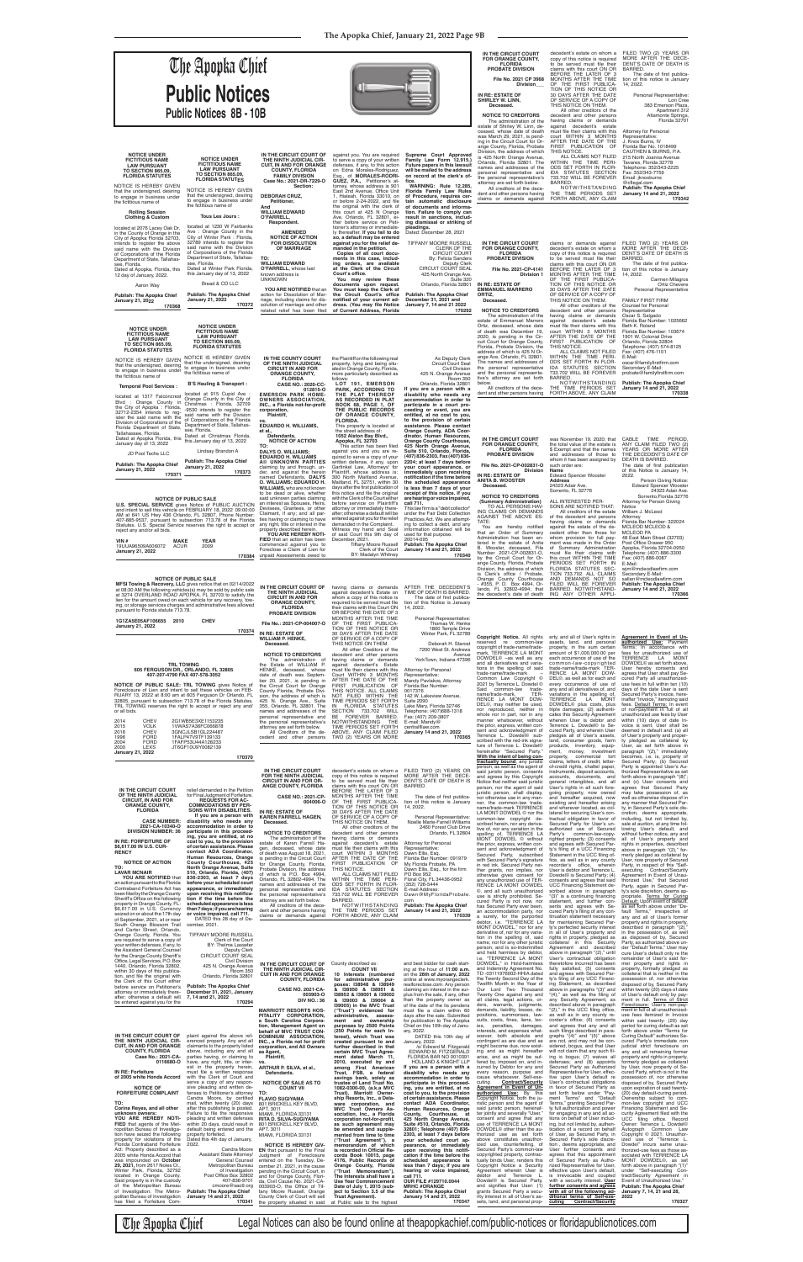**Copyright Notice.** All rights<br>reserved re common-law<br>copyright of trade-name/trade-<br>mark, TERRENCE LA MONT<br>DOWDEL© –as well as any and all derivatives and varia-<br>trade-name/trade-mark<br>trade-name/trade-mark<br>Common Law Copyright ©<br>2021 by Terrence L. Dowdel ©<br>Said common-law trade-name/trade-mark, TER-RENCE LA MONT DOW-DEL©, may neither be used, nor reproduced, neither in whole nor in part, nor in any

tered in the estate of Anita<br>B. Wooster, deceased, File<br>Number 2021-CP-002831-O,<br>hy the Circuit Court for Or-<br>ange County, Florida, Probate<br>Division, the address of which<br>is Clerk's office / Probate,<br>Crange County Courthou

erty, and all of User's rights in assets, land, and personal property, in the sum certain amount of \$1,000,000.00 per each occurrence of use of the common-law-copyrighted trade-name/trade-mark TER-RENCE LA MONT DOW-DEL©, as well as for each and every occurrence of use of any and all derivatives of, and variations in the spelling of, TERRENCE LA MONT DOWDEL© plus costs, plus triple damages; (2) authenti-

PERIODS SET FORTH IN<br>FLORIDA STATUTES SEC-<br>TION 733.702. ALL CLAIMS<br>AND DEMANDS NOT SO<br>BLARED. NOTWITHSTAND-<br>BARRED. NOTWITHSTAND-<br>ING ANY OTHER APPLI-

**Agreement in Event of Un-**<br>**authorized Use:** Payment<br>**Terms: In accordance with fees for unauthorized use of<br><b>TERRENCE LA MONT** DOWDEL© as set forth above,<br>User hereby consents and<br>agrees that User shall pay Se-<br>cured Party all unauthorized-<br>use fees in full within ten (10)<br>days of the date User is sent<br>Secured Party's invoice, here-<br>infert-"Invoic

E-Mail:<br>wjm@mcleodlawfirm.com<br>Secondary E-Mail:<br>sallen@mcleodlawfirm.com<br>**Publish: The Apopka Chief<br>January 14 and 21, 2022**<br>170366

**File No.: 2021-CP-004007-O IN RE: ESTATE OF WILLIAM P. HENKE, NOTICE TO CREDITORS**<br>The administration of<br>the Estate of WILLIAM P. ceased, whose<br>th was Septemdate of death was Septem-<br>ber 20, 2021, is pending in<br>the Circuit Court for Orange<br>County Florida, Probate Divi-<br>sion, the address of which is 425 N. Orange Ave., Suite 355, Orlando, FL 32801. The names and addresses of the personal representative and OR BEFORE THE DATE OF 3<br>MONTHS AFTER THE TIME<br>TION OF THIS NOTICE OR<br>30 DAYS AFTER THE DATE<br>30 DAYS AFTER THE DATE<br>OF SERVICE OF A COPY OF<br>THIS NOTICE ON THEM. All other Creditors of the<br>decedent and other persons<br>having claims or demands<br>against decedent's Estate<br>must file their claims with this<br>Court WITHIN 3 MONTHS AFTER THE DATE OF THE<br>FIRST PUBLICATION OF<br>THIS NOTICE. ALL CLAIMS<br>NOT FILED WITHIN THE<br>TIME PERIODS SET FORTH<br>IN FLORIDA 733.702 WILL<br>BE FOREVER BARRED.<br>NOTWITHSTANDING THE<br>NOTWITHSTANDING THE

Attorney for Personal<br>Representative: Representative: Mandy Pavlakos, Attorney Florida Bar Number: 0017376 142 W. Lakeview Avenue, Suite 2090 Lake Mary, Florida 32746 Telephone: (407)688-1318 Fax: (407) 209-3807 E-mail: Mandy@

**NOTICE OF PUBLIC SALE: TRL TOWING** gives Notice of Foreclosure of Lien and intent to sell these vehicles on FEB-<br>RUARY 13, 2022 at 8:00 am at 605 Ferguson Dr Orlando, FL<br>32805, pursuant to subsection 713.78 of the Florida or all bids.

| <b>CHEV</b><br>2014<br><b>VOLK</b><br>2015<br><b>CHEV</b><br>2016<br><b>FORD</b><br>1996<br><b>FORD</b><br>2004<br>2000<br>LEXS<br><b>January 21, 2022</b>                                                                                                                                                                                                                                                                                                                                                                                                                                                                                                                  | 2G1WB5E3XE1153235<br>1VWAS7A36FC066878<br>3GNCJLSB1GL224487<br>1FALP47V9TF139133<br>1FAFP53U44A128233<br>JT6GF10U9Y0082139<br>170370                                                                                                                                                                                                                                                                                                                                                                                                                                                                                                                                                                                                                                                                                     | personal representative and<br>the personal representative's<br>attorney are set forth below.<br>All Creditors of the de-<br>cedent and other persons                                                                                                                                                                                                                                                                                                                                                                                                                                                                                                                                                                                                               | BE FOREVER BARRED.<br>NOTWITHSTANDING<br><b>THE</b><br>TIME PERIODS SET FORTH<br>ABOVE, ANY CLAIM FILED<br>TWO (2) YEARS OR MORE                                                                                                                                                                                                                                                                                                                                                                                                                                                                                                                                                                                                                                                        | Fax: (407) 209-3807<br>E-mail: Mandy@<br>centralfllaw.com<br>January 14 and 21, 2022<br>170365                                                                                                                                                                                                                                                                                                                                                                                                                                                                                                                                                                    | whole nor in part, nor in any<br>manner whatsoever, without<br>the prior, express, written con-<br>sent and acknowledgment of<br>Terrence L. Dowdel <sup>®</sup> sub-<br>scribed with the red-ink signa-<br>ture of Terrence L. Dowdel©<br>hereinafter "Secured Party."<br>With the intent of being con-                                                                                                                                                                                                                                                                                                                                                                                                                                                                                                                                                                                                                                                                                                                                             | cates this Security Agreement<br>wherein User is debtor and<br>Terrence L. Dowdel <sup>©</sup> is Se-<br>cured Party, and wherein User<br>pledges all of User's assets,<br>land, consumer goods, farm<br>products, inventory, equip-<br>ment, money, investment<br>property, commercial tort                                                                                                                                                                                                                                                                                                                                                                                                                                                                                                                                                                                                                                                                                                                                                                                                   | unauthorized use fees by User<br>within (10) days of date In-<br>voice is sent, User shall be<br>deemed in default and: (a) all<br>of User's property and proper-<br>ty pledged as collateral by<br>User, as set forth above in<br>paragraph "(2)," immediately<br>becomes, i.e. is, property of                                                                                                                                                                                                                                                                                                                                                                                                                                                                                                                                                                                                                                                                                                                                                 |
|-----------------------------------------------------------------------------------------------------------------------------------------------------------------------------------------------------------------------------------------------------------------------------------------------------------------------------------------------------------------------------------------------------------------------------------------------------------------------------------------------------------------------------------------------------------------------------------------------------------------------------------------------------------------------------|--------------------------------------------------------------------------------------------------------------------------------------------------------------------------------------------------------------------------------------------------------------------------------------------------------------------------------------------------------------------------------------------------------------------------------------------------------------------------------------------------------------------------------------------------------------------------------------------------------------------------------------------------------------------------------------------------------------------------------------------------------------------------------------------------------------------------|---------------------------------------------------------------------------------------------------------------------------------------------------------------------------------------------------------------------------------------------------------------------------------------------------------------------------------------------------------------------------------------------------------------------------------------------------------------------------------------------------------------------------------------------------------------------------------------------------------------------------------------------------------------------------------------------------------------------------------------------------------------------|-----------------------------------------------------------------------------------------------------------------------------------------------------------------------------------------------------------------------------------------------------------------------------------------------------------------------------------------------------------------------------------------------------------------------------------------------------------------------------------------------------------------------------------------------------------------------------------------------------------------------------------------------------------------------------------------------------------------------------------------------------------------------------------------|-------------------------------------------------------------------------------------------------------------------------------------------------------------------------------------------------------------------------------------------------------------------------------------------------------------------------------------------------------------------------------------------------------------------------------------------------------------------------------------------------------------------------------------------------------------------------------------------------------------------------------------------------------------------|------------------------------------------------------------------------------------------------------------------------------------------------------------------------------------------------------------------------------------------------------------------------------------------------------------------------------------------------------------------------------------------------------------------------------------------------------------------------------------------------------------------------------------------------------------------------------------------------------------------------------------------------------------------------------------------------------------------------------------------------------------------------------------------------------------------------------------------------------------------------------------------------------------------------------------------------------------------------------------------------------------------------------------------------------|------------------------------------------------------------------------------------------------------------------------------------------------------------------------------------------------------------------------------------------------------------------------------------------------------------------------------------------------------------------------------------------------------------------------------------------------------------------------------------------------------------------------------------------------------------------------------------------------------------------------------------------------------------------------------------------------------------------------------------------------------------------------------------------------------------------------------------------------------------------------------------------------------------------------------------------------------------------------------------------------------------------------------------------------------------------------------------------------|--------------------------------------------------------------------------------------------------------------------------------------------------------------------------------------------------------------------------------------------------------------------------------------------------------------------------------------------------------------------------------------------------------------------------------------------------------------------------------------------------------------------------------------------------------------------------------------------------------------------------------------------------------------------------------------------------------------------------------------------------------------------------------------------------------------------------------------------------------------------------------------------------------------------------------------------------------------------------------------------------------------------------------------------------|
| IN THE CIRCUIT COURT<br>OF THE NINTH JUDICIAL<br><b>CIRCUIT, IN AND FOR</b><br><b>ORANGE COUNTY.</b><br><b>FLORIDA</b><br><b>CASE NUMBER:</b><br>2021-CA-10340-O<br><b>DIVISION NUMBER: 36</b><br>IN RE: FORFEITURE OF<br>\$6,617.00 IN U.S. CUR-<br><b>RENCY</b><br><b>NOTICE OF ACTION</b><br>TO:<br>LAVAR MCNAIR<br>YOU ARE NOTIFIED that<br>an action pursuant to the Florida<br>Contraband Forfeiture Act has<br>been filed by the Orange County<br>Sheriff's Office on the following<br>property in Orange County, FL:<br>\$6,617.00 in U.S. Currency<br>seized on or about the 17th day<br>of September, 2021, at or near                                            | relief demanded in the Petition<br>for Final Judament of Forfeiture.<br><b>REQUESTS FOR AC-</b><br><b>COMMODATIONS BY PER-</b><br>SONS WITH DISABILITIES.<br>If you are a person with<br>disability who needs any<br>accommodation in order to<br>participate in this proceed-<br>ing, you are entitled, at no<br>cost to you, to the provision<br>of certain assistance. Please<br>contact ADA Coordinator,<br>Human Resources, Orange<br>County Courthouse, 425<br>North Orange Avenue, Suite<br>510, Orlando, Florida, (407)<br>836-2303, at least 7 days<br>before your scheduled court<br>appearance, or immediately<br>upon receiving this notifica-<br>tion if the time before the<br>scheduled appearance is less<br>than 7 days; if you are hearing<br>or voice impaired, call 711.<br>DATED this 28 day of De- | IN THE CIRCUIT COURT<br>FOR THE NINTH JUDICIAL<br><b>CIRCUIT IN AND FOR OR-</b><br>ANGE COUNTY, FLORIDA<br><b>CASE NO.: 2021-CP-</b><br>004006-O<br>IN RE: ESTATE OF<br><b>KAREN FARRELL HAGEN.</b><br>Deceased.<br><b>NOTICE TO CREDITORS</b><br>The administration of the<br>estate of Karen Farrell Ha-<br>gen, deceased, whose date<br>of death was August 18, 2021,<br>is pending in the Circuit Court<br>for Orange County, Florida,<br>Probate Division, the address<br>of which is P.O. Box 4994,<br>Orlando, FL 32802-4994. The<br>names and addresses of the<br>personal representative and<br>the personal representative's<br>attorney are set forth below.<br>All creditors of the dece-<br>dent and other persons having<br>claims or demands against | decedent's estate on whom a<br>copy of this notice is required<br>to be served must file their<br>claims with this court ON OR<br>BEFORE THE LATER OF 3<br>MONTHS AFTER THE TIME<br>OF THE FIRST PUBLICA-<br>TION OF THIS NOTICE OR<br>30 DAYS AFTER THE DATE<br>OF SERVICE OF A COPY OF<br>THIS NOTICE ON THEM.<br>All other creditors of the<br>decedent and other persons<br>having claims or demands<br>against decedent's estate<br>must file their claims with this<br>court WITHIN 3 MONTHS<br>AFTER THE DATE OF THE<br>FIRST PUBLICATION OF<br>THIS NOTICE.<br>ALL CLAIMS NOT FILED<br>WITHIN THE TIME PERI-<br>ODS SET FORTH IN FLOR-<br>IDA STATUTES SECTION<br>733.702 WILL BE FOREVER<br><b>BARRED</b><br>NOTWITHSTANDING<br>THE TIME PERIODS SET<br>FORTH ABOVE, ANY CLAIM | FILED TWO (2) YEARS OR<br>MORE AFTER THE DECE-<br>DENT'S DATE OF DEATH IS<br><b>BARRED</b><br>The date of first publica-<br>tion of this notice is January<br>14, 2022.<br>Personal Representative:<br>Noelle Marie-Farrell Williams<br>2460 Forest Club Drive<br>Orlando, FL 32804<br>Attorney for Personal<br>Representative:<br>Dawn Ellis, Esg<br>Florida Bar Number: 091979<br>My Florida Probate, PA<br>Dawn Ellis, Esg., for the firm<br>PO Box 952<br>Floral City, FL 34436-0952<br>(352) 726-5444<br>E-mail Address:<br>Dawn@MyFloridaProbate.<br>com<br><b>Publish: The Apopka Chief</b><br>January 14 and 21, 2022<br>170339                           | tractually bound, any juristic<br>person, as well as the agent of<br>said juristic person, consents<br>and agrees by this Copyright<br>Notice that neither said juristic<br>person, nor the agent of said<br>juristic person, shall display,<br>nor otherwise use in any man-<br>ner, the common-law trade-<br>name/trade-mark TERRENCE<br>LA MONT DOWDEL © nor the<br>common-law copyright de-<br>scribed herein, nor any deriva-<br>tive of, nor any variation in the<br>spelling of, TERRENCE LA<br>MONT DOWDEL © without<br>the prior, express, written con-<br>sent and acknowledgment of<br>Secured Party, subscribed<br>with Secured Party's signature<br>in red ink. Secured Party nei-<br>ther grants, nor implies, nor<br>otherwise gives consent for<br>any unauthorized use of TER-<br>RENCE LA MONT DOWDEL<br>©, and all such unauthorized<br>use is strictly prohibited. Se-<br>cured Party is not now, nor<br>has Secured Party ever been,<br>an accommodation party, nor<br>a surety, for the purported<br>debtor, i.e. "TERRENCE LA | claims, letters of credit, letter-<br>of-credit rights, chattel paper,<br>instruments, deposit accounts,<br>accounts, documents, and<br>general intangibles, and all<br>User's rights in all such fore-<br>going property, now owned<br>and hereafter acquired, now<br>existing and hereafter arising<br>and wherever located, as col-<br>lateral for securing User's con-<br>tractual obligation in favor of<br>Secured Party for User's un-<br>authorized use of Secured<br>Party's common-law-copy-<br>righted property; (3) consents<br>and agrees with Secured Par-<br>ty's filing of a UCC Financing<br>Statement in the UCC filing of-<br>fice, as well as in any county<br>recorder's office, wherein<br>User is debtor and Terrence L.<br>Dowdel <sup>©</sup> is Secured Party; (4)<br>consents and agrees that said<br>UCC Financing Statement de-<br>scribed above in paragraph<br>"(3)" is a continuing financing<br>statement, and further con-<br>sents and agrees with Se-<br>cured Party's filing of any con-<br>tinuation statement necessary<br>for maintaining Secured Par- | Secured Party; (b) Secured<br>Party is appointed User's Au-<br>thorized Representative as set<br>forth above in paragraph "(8)"<br>and (c) User consents and<br>agrees that Secured Party<br>may take possession of, as<br>well as otherwise dispose of in<br>any manner that Secured Par<br>ty, in Secured Party's sole dis-<br>cretion, deems appropriate.<br>including, but not limited by<br>sale at auction, at any time fol-<br>lowing User's default, and<br>without further notice, any and<br>all of User's property and<br>rights in properties, described<br>above in paragraph "(2)," for-<br>merly pledged as collateral by<br>User, now property of Secured<br>Party, in respect of this "Self-<br>executing Contract/Security<br>Agreement in Event of Unau-<br>thorized Use," that Secured<br>Party, again in Secured Par-<br>ty's sole discretion, deems ap-<br>propriate. Terms for Curino<br>Default: Upon event of default<br>as set forth above under "De-<br>fault Terms," irrespective of<br>any and all of User's former |
| South Orange Blossom Trail<br>and Carter Street, Orlando,<br>Orange County, Florida. You<br>are required to serve a copy of<br>your written defenses, if any, to<br>the Assistant General Counsel<br>for the Orange County Sheriff's<br>Office, Legal Services, P.O. Box<br>1440, Orlando, Florida 32802,<br>within 30 days of this publica-<br>tion, and file the original with<br>the Clerk of this Court either<br>before service on Petitioner's<br>attorney or immediately there-<br>after; otherwise a default will<br>be entered against you for the                                                                                                                 | cember, 2021.<br><b>TIFFANY MOORE RUSSELL</b><br>Clerk of the Court<br>BY: Thelma Lasseter<br><b>Deputy Clerk</b><br><b>CIRCUIT COURT SEAL</b><br><b>Civil Division</b><br>425 N. Orange Avenue<br>Room 350<br>Orlando, Florida 32801<br><b>Publish: The Apopka Chief</b><br>December 31, 2021, January<br>7, 14 and 21, 2022<br>170294                                                                                                                                                                                                                                                                                                                                                                                                                                                                                  | IN THE CIRCUIT COURT OF<br>THE NINTH JUDICIAL CIR-<br><b>CUIT IN AND FOR ORANGE</b><br><b>COUNTY, FLORIDA</b><br><b>CASE NO. 2021-CA-</b><br>003903-0<br><b>DIV NO.: 36</b>                                                                                                                                                                                                                                                                                                                                                                                                                                                                                                                                                                                         | County described as:<br><b>COUNT VII</b><br>10 Interests (numbered<br>for administrative pur-<br>poses: I38948 & I38949<br>& 138950 & 138951 &<br>I38952 & I39001 & I39002<br>& 139003 & 139004 &                                                                                                                                                                                                                                                                                                                                                                                                                                                                                                                                                                                       | and best bidder for cash start-<br>ing at the hour of 11:00 a.m.<br>on the 26th of January, 2022<br>online at www.myorangeclerk.<br>realforeclose.com. Any person<br>claiming an interest in the sur-<br>plus from the sale, if any, other<br>than the property owner as                                                                                                                                                                                                                                                                                                                                                                                          | MONT DOWDEL," nor for any<br>derivative of, nor for any varia-<br>tion in the spelling of, said<br>name, nor for any other juristic<br>person, and is so-indemnified<br>and held harmless by debtor,<br>i.e. "TERRENCE LA MONT<br>DOWDEL," in Hold-harmless<br>and Indemnity Agreement No.<br>TD -03111976002-HHIA dated<br>the Twenty Second Day of the<br>Twelfth Month in the Year of<br>Our Lord Two Thousand<br>Twenty One against any and<br>all claims, legal actions, or-                                                                                                                                                                                                                                                                                                                                                                                                                                                                                                                                                                    | ty's perfected security interest<br>in all of User's property and<br>rights in property, pledged as<br>collateral in this Security<br>Agreement and described<br>above in paragraph "(2)," until<br>User's contractual obligation<br>theretofore incurred has been<br>fully satisfied; (5) consents<br>and agrees with Secured Par-<br>ty's filing of any UCC Financ-<br>ing Statement, as described<br>above in paragraphs "(3)" and<br>"(4)," as well as the filing of<br>any Security Agreement, as                                                                                                                                                                                                                                                                                                                                                                                                                                                                                                                                                                                         | property and rights in property,<br>described in paragraph "(2).<br>in the possession of, as well<br>as disposed of by, Secured<br>Party, as authorized above un-<br>der "Default Terms," User may<br>cure User's default only re the<br>remainder of User's said for-<br>mer property and rights in<br>property, formally pledged as<br>collateral that is neither in the<br>possession of, nor otherwise<br>disposed of by, Secured Party<br>within twenty (20) days of date<br>of User's default only by pay-<br>ment in full. Terms of Strict                                                                                                                                                                                                                                                                                                                                                                                                                                                                                                |
| IN THE CIRCUIT COURT OF<br>THE NINTH JUDICIAL CIR-<br><b>CUIT. IN AND FOR ORANGE</b><br><b>COUNTY, FLORIDA</b><br>Case No.: 2021-CA-<br>0116680-O<br>IN RE: Forfeiture<br>of 2005 white Honda Accord                                                                                                                                                                                                                                                                                                                                                                                                                                                                        | plaint against the above ref-<br>erenced property. Any and all<br>claimants to the property listed<br>above, including any and all<br>parties having, or claiming to<br>have, any right, title, or inter-<br>est in the property herein,<br>must file a written response<br>with the Clerk of Court and<br>serve a copy of any respon-                                                                                                                                                                                                                                                                                                                                                                                                                                                                                   | <b>MARRIOTT RESORTS HOS-</b><br>PITALITY CORPORATION,<br>a South Carolina Corpora-<br>tion, Management Agent on<br>behalf of MVC TRUST CON-<br>DOMINIUM ASSOCIATION.<br>INC., a Florida not for profit<br>corporation, and All Owners<br>as Agent,<br>Plaintiff,<br>VS.<br>ARTHUR P. SILVA, et al.,<br>Defendants.<br><b>NOTICE OF SALE AS TO</b>                                                                                                                                                                                                                                                                                                                                                                                                                   | 139005) in the MVC Trust<br>("Trust") evidenced for<br>administrative, assess-<br>ment and ownership<br>purposes by 2500 Points<br>(250 Points for each In-<br>terest), which Trust was<br>created pursuant to and<br>further described in that<br>certain MVC Trust Agree-<br>ment dated March 11,<br>2010, executed by and<br>among First American<br>Trust, FSB, a federal<br>savings bank, solely as<br>trustee of Land Trust No.                                                                                                                                                                                                                                                                                                                                                   | of the date of the lis pendens<br>must file a claim within 60<br>days after the sale. Submitted<br>for publication to The Apopka<br>Chief on this 10th day of Janu-<br>ary, 2022.<br>DATED this 10th day of<br>January, 2022.<br>/s/ Edward M. Fitzgerald<br>EDWARD M. FITZGERALD<br>FLORIDA BAR NO 0010391<br><b>HOLLAND &amp; KNIGHT LLP</b><br>If you are a person with a<br>disability who needs any<br>accommodation in order to<br>participate in this proceed-                                                                                                                                                                                             | ders, warrants, judgments,<br>demands, liability, losses, de-<br>positions, summonses, law-<br>suits, costs, fines, liens, lev-<br>ies, penalties, damages,<br>interests, and expenses what-<br>soever, both absolute and<br>contingent as are due and as<br>might become due, now exist-<br>ing and as might hereafter<br>arise, and as might be suf-<br>fered by, imposed on, and in-<br>curred by Debtor for any and<br>every reason, purpose and<br>cause whatsoever. Self-exe-<br><b>Contract/Security</b><br>cuting                                                                                                                                                                                                                                                                                                                                                                                                                                                                                                                            | described above in paragraph<br>"(2)," in the UCC filing office,<br>as well as in any county re-<br>corder's office; (6) consents<br>and agrees that any and all<br>such filings described in para-<br>graphs "(4)" and "(5)" above<br>are not, and may not be con-<br>sidered, bogus, and that User<br>will not claim that any such fil-<br>ing is bogus; (7) waives all<br>defenses; and (8) appoints<br>Secured Party as Authorized<br>Representative for User, effec-<br>tive upon User's default re<br>User's contractual obligations                                                                                                                                                                                                                                                                                                                                                                                                                                                                                                                                                     | Foreclosure: User's non-pay-<br>ment in full of all unauthorized-<br>use fees itemized in Invoice<br>within said twenty- (20) day<br>period for curing default as set<br>forth above under "Terms for<br>Curing Default" authorizes Se-<br>cured Party's immediate non<br>judicial strict foreclosure on<br>any and all remaining former<br>property and rights in property,<br>formerly pledged as collateral<br>by User, now property of Se-<br>cured Party, which is not in the<br>possession of, nor otherwise<br>disposed of by, Secured Party                                                                                                                                                                                                                                                                                                                                                                                                                                                                                              |
| <b>NOTICE OF</b><br><b>FORFEITURE COMPLAINT</b><br>TO:<br>Corina Reyes, and all other<br>unknown owners:<br>YOU ARE HEREBY NOTI-<br><b>FIED</b> that agents of the Met-<br>ropolitan Bureau of Investiga-<br>tion have seized the following<br>property for violations of the<br>Florida Contraband Forfeiture<br>Act: Property described as a<br>2005 white Honda Accord that<br>was impounded on October<br>29, 2021, from 2617 Noles Ct.,<br>Winter Park, Florida, 32792<br>located in Orange County.<br>Said property is in the custody<br>of the Metropolitan Bureau<br>of Investigation. The Metro-<br>politan Bureau of Investigation<br>has filed a Forfeiture Com- | sive pleading and written de-<br>fenses to Petitioner's attorney TO:<br>Candra Moore, by certified<br>mail, within twenty (20) days<br>after this publishing is posted.<br>Failure to file the responsive<br>pleading and written defenses<br>within 20 days, could result in<br>default being entered and the<br>property forfeited.<br>Dated this 4th day of January,<br>2022.<br>Candra Moore<br>Assistant State Attorney/<br>General Counsel<br>Metropolitan Bureau<br>of Investigation<br>Post Office Box 32802<br>407-836-9701<br>cmoore@sao9.org<br><b>Publish: The Apopka Chief</b><br>January 14 and 21, 2022<br>170341                                                                                                                                                                                         | <b>COUNT VII</b><br><b>FLAVIO SUGIYAMA</b><br>801 BRICKELL KEY BLVD,<br>APT. 3011<br>MIAMI, FLORIDA 33131<br>RITA D. SILVA-SUGIYAMA<br>801 BRICKELL KEY BLVD,<br>APT. 3011<br>MIAMI, FLORIDA 33131<br><b>NOTICE IS HEREBY GIV-</b><br><b>EN</b> that pursuant to the Final<br>Judgment of Foreclosure<br>entered on the Tuesday, De-<br>cember 21, 2021, in the cause<br>pending in the Circuit Court, in<br>and for Orange County, Flori-<br>da, Civil Cause No. 2021-CA-<br>003903-O, the Office of Tif-<br>fany Moore Russell, Orange<br>County Clerk of Court will sell<br>the property situated in said                                                                                                                                                        | 1082-0300-00, (a.k.a MVC<br>Trust), Marriott Owner-<br>ship Resorts, Inc., a Dela-<br>ware corporation, and<br>MVC Trust Owners As-<br>sociation, Inc., a Florida<br>corporation not-for-profit,<br>as such agreement may<br>be amended and supple-<br>mented from time to time<br>("Trust Agreement"), a<br>memorandum of which<br>is recorded in Official Re-<br>cords Book 10015, page<br>4176, Public Records of<br>Orange County, Florida<br>("Trust Memorandum").<br>The Interests shall have a<br>Use Year Commencement<br>Date of July 1, 2015 (sub-<br>ject to Section 3.5 of the<br>Trust Agreement).<br>at Public sale to the highest                                                                                                                                        | ing, you are entitled, at no<br>cost to you, to the provision<br>of certain assistance. Please<br>contact ADA Coordinator,<br>Human Resources, Orange<br>County, Courthouse, at<br>425 North Orange Avenue,<br>Suite #510, Orlando, Florida<br>32801; Telephone (407) 836-<br>2303, at least 7 days before<br>your scheduled court ap-<br>pearance, or immediately<br>upon receiving this notifi-<br>cation if the time before the<br>scheduled appearance is<br>less than 7 days; if you are<br>hearing or voice impaired,<br>call 711.<br>OUR FILE #129710.0044<br><b>MRHC #ORANGE</b><br><b>Publish: The Apopka Chief</b><br>January 14 and 21, 2022<br>170347 | Agreement in Event of Un-<br><b>authorized Use:</b> By this<br>Copyright Notice, both the ju-<br>ristic person and the agent of<br>said juristic person, hereinaf-<br>ter jointly and severally "User,"<br>consent and agree that any<br>use of TERRENCE LA MONT<br>DOWDEL <sup>®</sup> other than the au-<br>thorized use as set forth<br>above constitutes unauthor-<br>ized use, counterfeiting, of<br>Secured Party's common-law<br>copyrighted property, contrac-<br>tually binds User, renders this<br>Copyright Notice a Security<br>Agreement wherein User is<br>debtor and Terrence L.<br>Dowdel <sup>©</sup> is Secured Party,<br>and signifies that User: (1)<br>grants Secured Party a secu-<br>rity interest in all of User's as-<br>sets, land, and personal prop-                                                                                                                                                                                                                                                                     | in favor of Secured Party as<br>set forth below under "Pay-<br>ment Terms" and "Default<br>Terms," granting Secured Par-<br>ty full authorization and power<br>for engaging in any and all ac-<br>tions on behalf of User includ-<br>ing, but not limited by, authen-<br>tication of a record on behalf<br>of User, as Secured Party, in<br>Secured Party's sole discre-<br>tion, deems appropriate, and<br>User further consents and<br>agrees that this appointment<br>of Secured Party as Autho-<br>rized Representative for User,<br>effective upon User's default,<br>is irrevocable and coupled<br>with a security interest. User<br>further consents and agrees<br>with all of the following ad-<br>ditional terms of Self-exe-<br><b>Contract/Security</b><br>cuting                                                                                                                                                                                                                                                                                                                   | upon expiration of said twenty-<br>(20) day default-curing period.<br>Ownership subject to com-<br>mon-law copyright and UCC<br>Financing Statement and Se-<br>curity Agreement filed with the<br>UCC filing office. Record<br>Owner: Terrence L. Dowdel©<br>Autograph Common Law<br>Copyright © 2021. Unauthor-<br>ized use of "Terrence L.<br>Dowdel" incurs same unau-<br>thorized-use fees as those as-<br>sociated with TERRENCE LA<br>MONT DOWDEL <sup>®</sup> , as set<br>forth above in paragraph "(1)"<br>under "Self-executing Con-<br>tract/Security Agreement in<br>Event of Unauthorized Use."<br><b>Publish: The Apopka Chief</b><br>January 7, 14, 21 and 28,<br>2022<br>170327                                                                                                                                                                                                                                                                                                                                                   |

The Apopka Chief Legal Notices can also be found online at theapopkachief.com/public-notices or floridapublicnotices.com

Thomas W. Henke 1800 Temple Drive Winter Park, FL 32789 Deborah H. Starost 7200 West St. Andrews Avenue YorkTown, Indiana 47396 the decedent's date of death

| <b>NUTIVE OF FUDLIC SALE</b>                                     |                           |
|------------------------------------------------------------------|---------------------------|
| MFSI Towing & Recovery, LLC gives notice that on 02/14/2022      | IN THE CIRCUIT COURT OF   |
| at 08:30 AM the following vehicles(s) may be sold by public sale | THE NINTH JUDICIAL        |
| at 3274 OVERLAND ROAD APOPKA, FL 32703 to satisfy the            | <b>CIRCUIT IN AND FOR</b> |
| lien for the amount owed on each vehicle for any recovery, tow-  | <b>ORANGE COUNTY.</b>     |
| ing, or storage services charges and administrative fees allowed | <b>FLORIDA</b>            |
| pursuant to Florida statute 713.78.                              | <b>PROBATE DIVISION</b>   |

| 1G1ZA5E05AF106655<br>January 21, 2022 | 2010              | <b>CHEV</b>                         |        | <b>File No.: 202</b>                                           |  |
|---------------------------------------|-------------------|-------------------------------------|--------|----------------------------------------------------------------|--|
|                                       |                   |                                     | 170374 | <b>IN RE: ESTAT</b>                                            |  |
|                                       |                   |                                     |        | <b>WILLIAM P.H</b><br>Deceased.                                |  |
|                                       | <b>TRL TOWING</b> | 605 FERGUSON DR., ORLANDO, FL 32805 |        | <b>NOTICE TO</b><br>ad<br>The<br>the Estate o<br>HENKE.<br>dec |  |
|                                       |                   | 407-207-4790 FAX 407-578-3052       |        | date of death<br>$\overline{a}$                                |  |

> having claims or demands<br>against decedent's Estate on<br>whom a copy of this notice is<br>required to be served must file their claims with this Court ON<br>OR BEFORE THE DATE OF 3 AFTER THE DECEDENT'S<br>TIME OF DEATH IS BARRED.<br>The date of first publica-<br>tion of this Notice is January 14, 2022. Personal Representative:

|                                                                                                                                                                                                                                                                                                                                                                                                                                                                               | <b>The Apopka Chief</b><br><b>Public Notices</b><br><b>Public Notices 8B - 10B</b>                                                                                                                                                                                                                                                                                                                                                                                                                                                                                                                                                                                                                                                     |                                                                                                                                                                                                                                                                                                                                                                                                                                                                                                                                                                                                                                                                                                                                                                                                                                             |                                                                                                                                                                                                                                                                                                                                                                                                                                                                                                                                                                                                                                                                                                                                                                                                                                                                                                                             |                                                                                                                                                                                                                                                                                                                                                                                                                                                                                                                                                                                                                                                                                                                                                                                                                                                                                                                  | IN THE CIRCUIT COURT<br><b>FOR ORANGE COUNTY,</b><br><b>FLORIDA</b><br>PROBATE DIVISION<br>File No. 2021 CP 3968<br>Division<br>IN RE: ESTATE OF<br><b>SHIRLEY W. LINN.</b><br>Deceased.<br><b>NOTICE TO CREDITORS</b><br>The administration of the                                                                                                                                                                                                                                                                             | decedent's estate on whom a<br>copy of this notice is required<br>to be served must file their<br>claims with this court ON OR<br>BEFORE THE LATER OF 3<br>MONTHS AFTER THE TIME<br>OF THE FIRST PUBLICA-<br>TION OF THIS NOTICE OR<br>30 DAYS AFTER THE DATE<br>OF SERVICE OF A COPY OF<br>THIS NOTICE ON THEM.<br>All other creditors of the<br>decedent and other persons<br>having claims or demands                                                                                                                                                                                                            | FILED TWO (2) YEARS OR<br>MORE AFTER THE DECE-<br>DENT'S DATE OF DEATH IS<br>BARRED.<br>The date of first publica-<br>tion of this notice is January<br>14, 2022.<br>Personal Representative:<br>Lori Cree<br>383 Emerson Plaza.<br>Apartment 312<br>Altamonte Springs,<br>Florida 32701                                                                                                                                                                                                                                                                                   |
|-------------------------------------------------------------------------------------------------------------------------------------------------------------------------------------------------------------------------------------------------------------------------------------------------------------------------------------------------------------------------------------------------------------------------------------------------------------------------------|----------------------------------------------------------------------------------------------------------------------------------------------------------------------------------------------------------------------------------------------------------------------------------------------------------------------------------------------------------------------------------------------------------------------------------------------------------------------------------------------------------------------------------------------------------------------------------------------------------------------------------------------------------------------------------------------------------------------------------------|---------------------------------------------------------------------------------------------------------------------------------------------------------------------------------------------------------------------------------------------------------------------------------------------------------------------------------------------------------------------------------------------------------------------------------------------------------------------------------------------------------------------------------------------------------------------------------------------------------------------------------------------------------------------------------------------------------------------------------------------------------------------------------------------------------------------------------------------|-----------------------------------------------------------------------------------------------------------------------------------------------------------------------------------------------------------------------------------------------------------------------------------------------------------------------------------------------------------------------------------------------------------------------------------------------------------------------------------------------------------------------------------------------------------------------------------------------------------------------------------------------------------------------------------------------------------------------------------------------------------------------------------------------------------------------------------------------------------------------------------------------------------------------------|------------------------------------------------------------------------------------------------------------------------------------------------------------------------------------------------------------------------------------------------------------------------------------------------------------------------------------------------------------------------------------------------------------------------------------------------------------------------------------------------------------------------------------------------------------------------------------------------------------------------------------------------------------------------------------------------------------------------------------------------------------------------------------------------------------------------------------------------------------------------------------------------------------------|---------------------------------------------------------------------------------------------------------------------------------------------------------------------------------------------------------------------------------------------------------------------------------------------------------------------------------------------------------------------------------------------------------------------------------------------------------------------------------------------------------------------------------|---------------------------------------------------------------------------------------------------------------------------------------------------------------------------------------------------------------------------------------------------------------------------------------------------------------------------------------------------------------------------------------------------------------------------------------------------------------------------------------------------------------------------------------------------------------------------------------------------------------------|----------------------------------------------------------------------------------------------------------------------------------------------------------------------------------------------------------------------------------------------------------------------------------------------------------------------------------------------------------------------------------------------------------------------------------------------------------------------------------------------------------------------------------------------------------------------------|
| <b>NOTICE UNDER</b><br><b>FICTITIOUS NAME</b><br><b>LAW PURSUANT</b><br><b>TO SECTION 865.09,</b><br><b>FLORIDA STATUTES</b><br>NOTICE IS HEREBY GIVEN<br>that the undersigned, desiring<br>to engage in business under<br>the fictitious name of<br><b>Rolling Session</b><br><b>Clothing &amp; Custom</b><br>located at 2076 Lacey Oak Dr,<br>in the County of Orange in the                                                                                                | <b>NOTICE UNDER</b><br><b>FICTITIOUS NAME</b><br><b>LAW PURSUANT</b><br><b>TO SECTION 865.09.</b><br><b>FLORIDA STATUTES</b><br>NOTICE IS HEREBY GIVEN<br>that the undersigned, desiring<br>to engage in business under<br>the fictitious name of<br>Tous Les Jours :<br>located at 1230 W Fairbanks<br>Ave: Orange County in the                                                                                                                                                                                                                                                                                                                                                                                                      | IN THE CIRCUIT COURT OF<br>THE NINTH JUDICIAL CIR-<br><b>CUIT, IN AND FOR ORANGE</b><br><b>COUNTY, FLORIDA</b><br><b>FAMILY DIVISION</b><br>Case No.: 2021-DR-7229-O<br>Section:<br><b>DEBORAH CRUZ,</b><br>Petitioner,<br>And<br><b>WILLIAM EDWARD</b><br>O'FARRELL<br>Respondent.<br><b>AMENDED</b>                                                                                                                                                                                                                                                                                                                                                                                                                                                                                                                                       | against you. You are required<br>to serve a copy of your written<br>defenses, if any, to this action<br>on Edna Morales-Rodriguez,<br>Esq., of MORALES-RODRI-<br>GUEZ, P.A., Petitioner's at-<br>torney, whose address is 901<br>East 2nd Avenue, Office Unit<br>1, Hialeah, Florida 33010, on<br>or before 2-24-2022, and file<br>the original with the clerk of<br>this court at 425 N Orange<br>Ave, Orlando, FL 32801, ei-<br>ther before service on Peti-<br>tioner's attorney or immediate-<br>ly thereafter. If you fail to do                                                                                                                                                                                                                                                                                                                                                                                       | Supreme Court Approved<br>Family Law Form 12.915.)<br>Future papers in this lawsuit<br>will be mailed to the address<br>on record at the clerk's of-<br>fice.<br>WARNING: Rule 12.285,<br>Florida Family Law Rules<br>of Procedure, requires cer-<br>tain automatic disclosure<br>of documents and informa-<br>tion. Failure to comply can<br>result in sanctions, includ-<br>ing dismissal or striking of<br>pleadings.<br>Dated: December 28, 2021                                                                                                                                                                                                                                                                                                                                                                                                                                                             | estate of Shirley W. Linn, de-<br>ceased, whose date of death<br>was March 29, 2021, is pend-<br>ing in the Circuit Court for Or-<br>ange County, Florida, Probate<br>Division, the address of which<br>is 425 North Orange Avenue,<br>Orlando, Florida 32801. The<br>names and addresses of the<br>personal representative and<br>the personal representative's<br>attorney are set forth below.<br>All creditors of the dece-<br>dent and other persons having<br>claims or demands against                                   | against decedent's estate<br>must file their claims with this<br>court WITHIN 3 MONTHS<br>AFTER THE DATE OF THE<br>FIRST PUBLICATION OF<br>THIS NOTICE.<br>ALL CLAIMS NOT FILED<br>WITHIN THE TIME PERI-<br>ODS SET FORTH IN FLOR-<br>IDA STATUTES SECTION<br>733.702 WILL BE FOREVER<br>BARRED.<br>NOTWITHSTANDING<br>THE TIME PERIODS SET<br>FORTH ABOVE, ANY CLAIM                                                                                                                                                                                                                                               | <b>Attorney for Personal</b><br>Representative:<br>J. Knox Burns, IV<br>Florida Bar No. 1018499<br>CAUTHEN & BURNS, P.A.<br>215 North Joanna Avenue<br>Tavares, Florida 32778<br>Telephone: 352/343-2225<br>Fax: 352/343-7759<br>Email: jknoxburns<br>@cflegal.com<br><b>Publish: The Apopka Chief</b><br>January 14 and 21, 2022<br>170342                                                                                                                                                                                                                                |
| City of Apopka Florida 32703,<br>intends to register the above<br>said name with the Division<br>of Corporations of the Florida<br>Department of State, Tallahas-<br>see. Florida.<br>Dated at Apopka, Florida, this<br>12 day of January, 2022.<br>Aaron Way<br><b>Publish: The Apopka Chief</b><br>January 21, 2022<br>170368                                                                                                                                               | City of Winter Park: Florida,<br>32789 intends to register the<br>said name with the Division<br>of Corporations of the Florida<br>Department of State, Tallahas-<br>see, Florida.<br>Dated at Winter Park Florida,<br>this January day of 13, 2022<br>Bread & CO LLC<br><b>Publish: The Apopka Chief</b><br><b>January 21, 2022</b><br>170372                                                                                                                                                                                                                                                                                                                                                                                         | <b>NOTICE OF ACTION</b><br><b>FOR DISSOLUTION</b><br>OF MARRIAGE<br>TO:<br><b>WILLIAM EDWARD</b><br>O'FARRELL, whose last<br>known address is<br><b>UNKNOWN</b><br>YOU ARE NOTIFIED that an<br>action for Dissolution of Mar-<br>riage, including claims for dis-<br>solution of marriage and other<br>related relief has been filed                                                                                                                                                                                                                                                                                                                                                                                                                                                                                                        | so, a default may be entered<br>against you for the relief de-<br>manded in the petition.<br>Copies of all court docu-<br>ments in this case, includ-<br>ing orders, are available<br>at the Clerk of the Circuit<br>Court's office.<br>You may review these<br>documents upon request.<br>You must keep the Clerk of<br>the Circuit Court's office<br>notified of your current ad-<br>dress. (You may file Notice<br>of Current Address, Florida                                                                                                                                                                                                                                                                                                                                                                                                                                                                           | <b>TIFFANY MOORE RUSSELL</b><br><b>CLERK OF THE</b><br><b>CIRCUIT COURT</b><br><b>By: Felicia Sanders</b><br><b>Deputy Clerk</b><br>CIRCUIT COURT SEAL<br>425 North Orange Ave.<br>Suite 320<br>Orlando, Florida 32801<br><b>Publish: The Apopka Chief</b><br>December 31, 2021 and<br>January 7, 14 and 21 2022<br>170292                                                                                                                                                                                                                                                                                                                                                                                                                                                                                                                                                                                       | IN THE CIRCUIT COURT<br>FOR ORANGE COUNTY,<br><b>FLORIDA</b><br>PROBATE DIVISION<br>File No. 2021-CP-4141<br>Division 1<br>IN RE: ESTATE OF<br><b>EMMANUEL MARRERO</b><br>ORTIZ,<br>Deceased.<br><b>NOTICE TO CREDITORS</b><br>The administration of the                                                                                                                                                                                                                                                                        | claims or demands against<br>decedent's estate on whom a<br>copy of this notice is required<br>to be served must file their<br>claims with this court ON OR<br>BEFORE THE LATER OF 3<br>MONTHS AFTER THE TIME<br>OF THE FIRST PUBLICA-<br>TION OF THIS NOTICE OR<br>30 DAYS AFTER THE DATE<br>OF SERVICE OF A COPY OF<br>THIS NOTICE ON THEM.<br>All other creditors of the<br>decedent and other persons<br>having claims or demands                                                                                                                                                                               | FILED TWO (2) YEARS OR<br>MORE AFTER THE DECE-<br>DENT'S DATE OF DEATH IS<br>BARRED.<br>The date of first publica-<br>tion of this notice is January<br>14, 2022.<br><b>Carmen Milagros</b><br><b>Ortiz Chevere</b><br>Personal Representative<br><b>FAMILY FIRST FIRM</b><br><b>Counsel for Personal</b><br>Representative<br>Oscar S. Salgado                                                                                                                                                                                                                            |
| <b>NOTICE UNDER</b><br><b>FICTITIOUS NAME</b><br><b>LAW PURSUANT</b><br><b>TO SECTION 865.09.</b><br><b>FLORIDA STATUTES</b><br>NOTICE IS HEREBY GIVEN<br>that the undersigned, desiring<br>to engage in business under<br>the fictitious name of<br><b>Temporal Pool Services:</b><br>located at 1317 Falconcrest                                                                                                                                                            | <b>NOTICE UNDER</b><br><b>FICTITIOUS NAME</b><br><b>LAW PURSUANT</b><br><b>TO SECTION 865.09.</b><br><b>FLORIDA STATUTES</b><br>NOTICE IS HEREBY GIVEN<br>that the undersigned, desiring<br>to engage in business under<br>the fictitious name of<br><b>B'S Hauling &amp; Transport:</b><br>located at 915 Cupid Ave :<br>Orange County in the City of                                                                                                                                                                                                                                                                                                                                                                                 | IN THE COUNTY COURT<br>OF THE NINTH JUDICIAL<br><b>CIRCUIT IN AND FOR</b><br><b>ORANGE COUNTY,</b><br><b>FLORIDA</b><br><b>CASE NO.: 2020-CC-</b><br>012815-0<br><b>EMERSON PARK HOME-</b><br><b>OWNERS ASSOCIATION,</b>                                                                                                                                                                                                                                                                                                                                                                                                                                                                                                                                                                                                                    | the Plaintiff on the following real<br>property, lying and being situ-<br>ated in Orange County, Florida,<br>more particularly described as<br>follows:<br>LOT 191, EMERSON<br>PARK, ACCORDING TO<br>THE PLAT THEREOF<br>AS RECORDED IN PLAT                                                                                                                                                                                                                                                                                                                                                                                                                                                                                                                                                                                                                                                                                | As Deputy Clerk<br>Circuit Court Seal<br>Civil Division<br>425 N. Orange Avenue<br><b>Room 350</b><br>Orlando, Florida 32801<br>If you are a person with a<br>disability who needs any<br>accommodation in order to                                                                                                                                                                                                                                                                                                                                                                                                                                                                                                                                                                                                                                                                                              | estate of Emmanuel Marrero<br>Ortiz, deceased, whose date<br>of death was December 19,<br>2020, is pending in the Cir-<br>cuit Court for Orange County,<br>Florida, Probate Division, the<br>address of which is 425 N Or-<br>ange Ave, Orlando, FL 32801.<br>The names and addresses of<br>the personal representative<br>and the personal representa-<br>tive's attorney are set forth<br>below.<br>All creditors of the dece-<br>dent and other persons having                                                               | against decedent's estate<br>must file their claims with this<br>court WITHIN 3 MONTHS<br>AFTER THE DATE OF THE<br>FIRST PUBLICATION<br>- OF<br>THIS NOTICE.<br>ALL CLAIMS NOT FILED<br>WITHIN THE TIME PERI-<br>ODS SET FORTH IN FLOR-<br>IDA STATUTES SECTION<br>733.702 WILL BE FOREVER<br>BARRED.<br>NOTWITHSTANDING<br>THE TIME PERIODS SET<br>FORTH ABOVE, ANY CLAIM                                                                                                                                                                                                                                          | Florida Bar Number: 1025662<br>Beth K. Roland<br>Florida Bar Number: 103674<br>1901 W. Colonial Drive<br>Orlando, Florida 32804<br>Telephone: (407) 574-8125<br>Fax: (407) 476-1101<br>E-Mail:<br>oscar@familyfirstfirm.com<br>Secondary E-Mail:<br>probate@familyfirstfirm.com<br>Publish: The Apopka Chief<br>January 14 and 21, 2022<br>170338                                                                                                                                                                                                                          |
| Blvd : Orange County in<br>the City of Apopka: Florida,<br>32712-2354 intends to reg-<br>ister the said name with the<br>Division of Corporations of the<br>Florida Department of State,<br>Tallahassee, Florida.<br>Dated at Apopka Florida, this<br>January day of 13, 2022<br>JD Pool Techs LLC<br>Publish: The Apopka Chief<br><b>January 21, 2022</b><br>170371<br>reject any and/or all bids.<br>VIN $#$<br>19UUA96509A006072<br><b>ACUR</b><br><b>January 21, 2022</b> | Christmas : Florida, 32709<br>-9530 intends to register the<br>said name with the Division<br>of Corporations of the Florida<br>Department of State, Tallahas-<br>see, Florida.<br>Dated at Christmas Florida,<br>this January day of 13, 2022<br>Lindsay Brandon A<br><b>Publish: The Apopka Chief</b><br><b>January 21, 2022</b><br>170373<br><b>NOTICE OF PUBLIC SALE</b><br><b>U.S. SPECIAL SERVICE</b> gives Notice of PUBLIC AUCTION<br>and intent to sell this vehicle on FEBRUARY 18, 2022 09:00:00<br>AM at 641 US Hwy 436 Orlando, FL 32807, Phone Number:<br>407-885-9537, pursuant to subsection 713.78 of the Florida<br>Statutes. U.S. Special Service reserves the right to accept or<br>YEAR<br>MAKE<br>2009<br>170384 | INC., a Florida not-for-profit<br>corporation,<br>Plaintiff,<br>VS.<br><b>EDUARDO H. WILLIAMS,</b><br>et al.,<br>Defendants.<br><b>NOTICE OF ACTION</b><br>TO:<br><b>DALYS O. WILLIAMS:</b><br><b>EDUARDO H. WILLIAMS</b><br>AII UNKNOWN PARTIES<br>claiming by and through, un-<br>der, and against the herein<br>named Defendants, DALYS<br>O. WILLIAMS; EDUARDO H.<br>WILLIAMS, who are not known<br>to be dead or alive, whether<br>said unknown parties claiming<br>an interest as Spouses, Heirs,<br>Devisees, Grantees, or other<br>Claimant, if any; and all par-<br>ties having or claiming to have<br>any right, title or interest in the<br>property described herein.<br>YOU ARE HEREBY NOTI-<br><b>FIED</b> that an action has been<br>commenced against you to<br>Foreclose a Claim of Lien for<br>unpaid Assessments owed to | <b>BOOK 68. PAGE 1. OF</b><br>THE PUBLIC RECORDS<br>OF ORANGE COUNTY,<br><b>FLORIDA.</b><br>This property is located at<br>the street address of:<br>1052 Alston Bay Blvd.,<br>Apopka, FL 32703<br>This action has been filed<br>against you and you are re-<br>quired to serve a copy of your<br>written defense, if any, upon<br>Garfinkel Law, Attorneys' for<br>Plaintiff, whose address is:<br>300 North Maitland Avenue,<br>Maitland, FL 32751, within 30<br>days after the first publication of<br>this notice and file the original<br>with the Clerk of the Court either<br>before service on Plaintiff's<br>attorney or immediately there-<br>after; otherwise a default will be<br>entered against you for the relief<br>demanded in the Complaint.<br>Witness my hand and Seal<br>of said Court this 9th day of<br>December, 2021.<br><b>Tiffany Moore Russell</b><br>Clerk of the Court<br>BY: Madalyn Whitney | participate in a court pro-<br>ceeding or event, you are<br>entitled, at no cost to you,<br>to the provision of certain<br>assistance. Please contact<br>Orange County, ADA Coor-<br>dinator, Human Resources,<br>Orange County Courthouse,<br>425 North Orange Avenue,<br>Suite 510, Orlando, Florida,<br>(407) 836-2303, Fax (407) 836-<br>2204; at least 7 days before<br>your court appearance, or<br>immediately upon receiving<br>notification if the time before<br>the scheduled appearance<br>is less than 7 days of your<br>receipt of this notice. If you<br>are hearing or voice impaired,<br>call 711.<br>This law firm is a "debt collector"<br>under the Fair Debt Collection<br>Practices Act. We are attempt-<br>ing to collect a debt, and any<br>information obtained will be<br>used for that purpose.<br>20014-095<br><b>Publish: The Apopka Chief</b><br>January 14 and 21, 2022<br>170340 | IN THE CIRCUIT COURT<br>FOR ORANGE COUNTY,<br><b>FLORIDA</b><br><b>PROBATE DIVISION</b><br>File No. 2021-CP-002831-O<br><b>Division</b><br>IN RE: ESTATE OF<br><b>ANITA B. WOOSTER</b><br>Deceased.<br><b>NOTICE TO CREDITORS</b><br>(Summary Administration)<br>TO ALL PERSONS HAV-<br>ING CLAIMS OR DEMANDS<br>AGAINST THE ABOVE ES-<br>TATE:<br>You are hereby notified<br>that an Order of Summary<br>Administration has been en-<br>tered in the estate of Anita<br>B. Wooster, deceased, File<br>Number 2021-CP-002831-O, | was November 19, 2020; that<br>the total value of the estate is<br>\$ Exempt and that the names<br>and addresses of those to<br>whom it has been assigned by<br>such order are:<br>Name<br><b>Edward Spencer Wooster</b><br>Address<br>24323 Adair Ave.<br>Sorrento, FL 32776<br>ALL INTERESTED PER-<br>SONS ARE NOTIFIED THAT:<br>All creditors of the estate<br>of the decedent and persons<br>having claims or demands<br>against the estate of the de-<br>cedent other than those for<br>whom provision for full pay-<br>ment was made in the Order<br>of Summary Administration<br>must file their claims with | CABLE TIME<br>PERIOD<br>ANY CLAIM FILED TWO (2)<br>YEARS OR MORE AFTER<br>THE DECEDENT'S DATE OF<br><b>DEATH IS BARRED.</b><br>The date of first publication<br>of this Notice is January 14,<br>2022.<br>Person Giving Notice:<br><b>Edward Spencer Wooster</b><br>24323 Adair Ave.<br>Sorrento, Florida 32776<br>Attorney for Person Giving<br>Notice<br>William J. McLeod<br>Attorney<br>Florida Bar Number: 322024<br>MCLEOD MCLEOD &<br>MCLEOD PA<br>48 East Main Street (32703)<br>Post Office Drawer 950<br>Apopka, Florida 32704-0950<br>Telephone: (407) 886-3300 |

 **NOTICE OF PUBLIC SALE**

| VIN $#$<br>19UUA96509A006072<br>January 21, 2022 | MAKF<br><b>ACUR</b> | YFAR<br>2009 |        |
|--------------------------------------------------|---------------------|--------------|--------|
|                                                  |                     |              | 170384 |
|                                                  |                     |              |        |